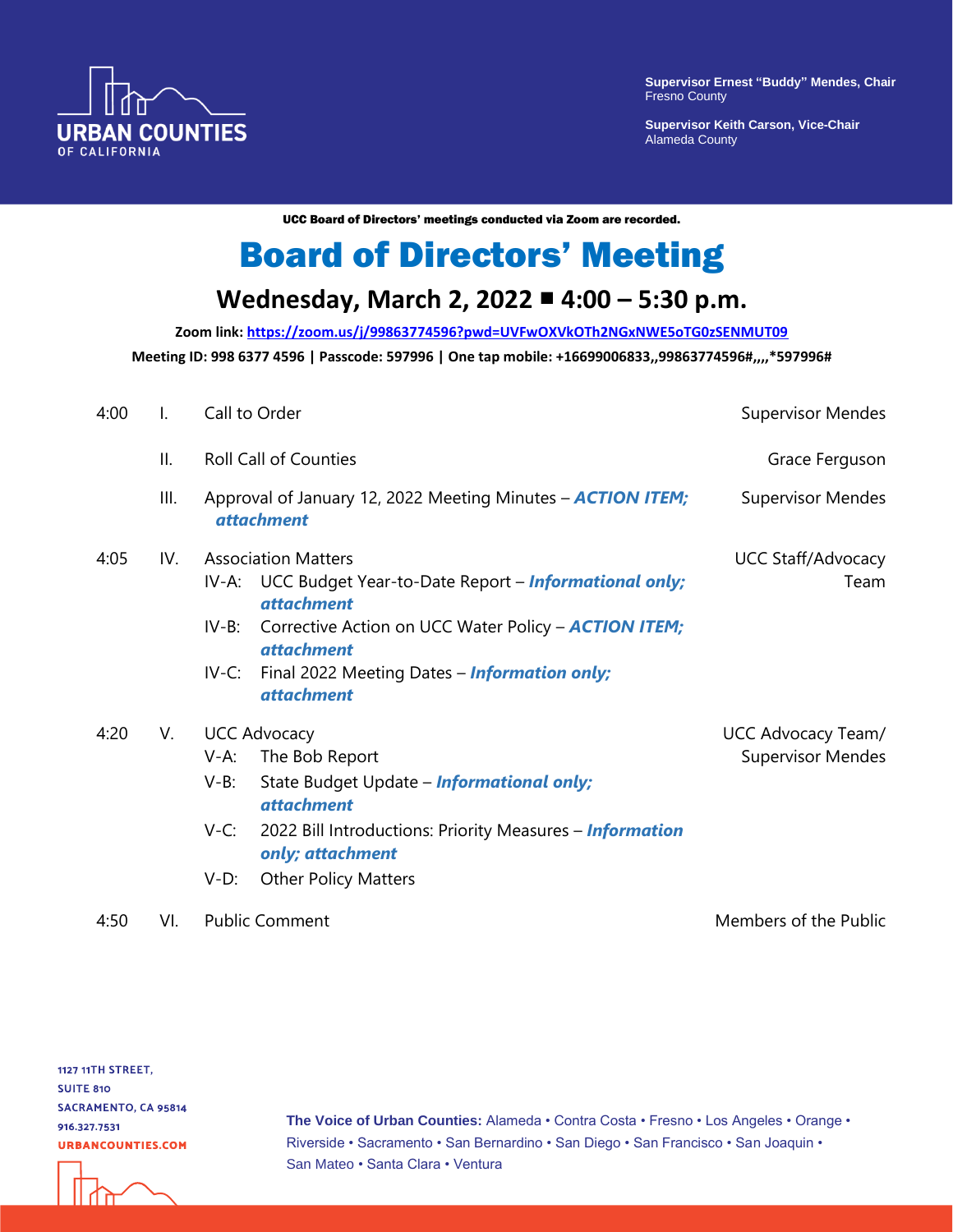

**Supervisor Ernest "Buddy" Mendes, Chair** Fresno County

**Supervisor Keith Carson, Vice-Chair** Alameda County

UCC Board of Directors' meetings conducted via Zoom are recorded.

## Board of Directors' Meeting

## **Wednesday, March 2, 2022 4:00 – 5:30 p.m.**

**Zoom link:<https://zoom.us/j/99863774596?pwd=UVFwOXVkOTh2NGxNWE5oTG0zSENMUT09> Meeting ID: 998 6377 4596 | Passcode: 597996 | One tap mobile: +16699006833,,99863774596#,,,,\*597996#** 

| 4:00 | Ι.  | Call to Order                                                                                                                                                                                                                                                                                     | <b>Supervisor Mendes</b>                       |
|------|-----|---------------------------------------------------------------------------------------------------------------------------------------------------------------------------------------------------------------------------------------------------------------------------------------------------|------------------------------------------------|
|      | ΙΙ. | <b>Roll Call of Counties</b>                                                                                                                                                                                                                                                                      | Grace Ferguson                                 |
|      | Ш.  | Approval of January 12, 2022 Meeting Minutes - <b>ACTION ITEM;</b><br><i>attachment</i>                                                                                                                                                                                                           | <b>Supervisor Mendes</b>                       |
| 4:05 | IV. | <b>Association Matters</b><br>IV-A: UCC Budget Year-to-Date Report – <i>Informational only;</i><br><i>attachment</i><br>Corrective Action on UCC Water Policy - <b>ACTION ITEM;</b><br>IV-B:<br><i>attachment</i><br>Final 2022 Meeting Dates - Information only;<br>$IV-C:$<br><i>attachment</i> | <b>UCC Staff/Advocacy</b><br>Team              |
| 4:20 | V.  | <b>UCC Advocacy</b><br>The Bob Report<br>$V-A$ :<br>$V-B$ :<br>State Budget Update - <i>Informational only;</i><br><i>attachment</i><br>$V-C$ :<br>2022 Bill Introductions: Priority Measures - Information<br>only; attachment<br><b>Other Policy Matters</b><br>$V-D$ :                         | UCC Advocacy Team/<br><b>Supervisor Mendes</b> |
| 4:50 | VI. | <b>Public Comment</b>                                                                                                                                                                                                                                                                             | Members of the Public                          |

**1127 11TH STREET, SUITE 810** SACRAMENTO, CA 95814 916.327.7531 **URBANCOUNTIES.COM** 

**The Voice of Urban Counties:** Alameda • Contra Costa • Fresno • Los Angeles • Orange • Riverside • Sacramento • San Bernardino • San Diego • San Francisco • San Joaquin • San Mateo • Santa Clara • Ventura